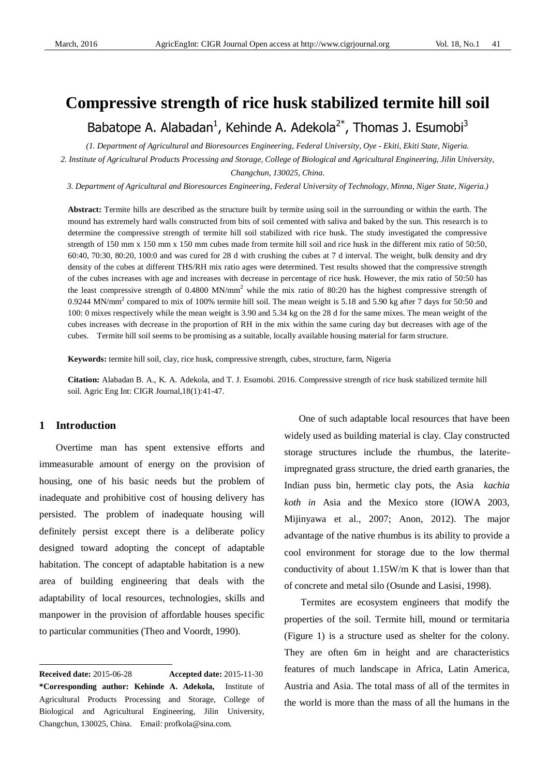# **Compressive strength of rice husk stabilized termite hill soil**

Babatope A. Alabadan<sup>1</sup>, Kehinde A. Adekola<sup>2\*</sup>, Thomas J. Esumobi<sup>3</sup>

*(1. Department of Agricultural and Bioresources Engineering, Federal University, Oye - Ekiti, Ekiti State, Nigeria. 2. Institute of Agricultural Products Processing and Storage, College of Biological and Agricultural Engineering, Jilin University,* 

*Changchun, 130025, China.*

*3. Department of Agricultural and Bioresources Engineering, Federal University of Technology, Minna, Niger State, Nigeria.)*

**Abstract:** Termite hills are described as the structure built by termite using soil in the surrounding or within the earth. The mound has extremely hard walls constructed from bits of soil cemented with saliva and baked by the sun. This research is to determine the compressive strength of termite hill soil stabilized with rice husk. The study investigated the compressive strength of 150 mm x 150 mm x 150 mm cubes made from termite hill soil and rice husk in the different mix ratio of 50:50, 60:40, 70:30, 80:20, 100:0 and was cured for 28 d with crushing the cubes at 7 d interval. The weight, bulk density and dry density of the cubes at different THS/RH mix ratio ages were determined. Test results showed that the compressive strength of the cubes increases with age and increases with decrease in percentage of rice husk. However, the mix ratio of 50:50 has the least compressive strength of  $0.4800$  MN/mm<sup>2</sup> while the mix ratio of 80:20 has the highest compressive strength of 0.9244 MN/mm<sup>2</sup> compared to mix of 100% termite hill soil. The mean weight is 5.18 and 5.90 kg after 7 days for 50:50 and 100: 0 mixes respectively while the mean weight is 3.90 and 5.34 kg on the 28 d for the same mixes. The mean weight of the cubes increases with decrease in the proportion of RH in the mix within the same curing day but decreases with age of the cubes. Termite hill soil seems to be promising as a suitable, locally available housing material for farm structure.

**Keywords:** termite hill soil, clay, rice husk, compressive strength, cubes, structure, farm, Nigeria

**Citation:** Alabadan B. A., K. A. Adekola, and T. J. Esumobi. 2016. Compressive strength of rice husk stabilized termite hill soil. Agric Eng Int: CIGR Journal,18(1):41-47.

## **1 Introduction1**

 $\overline{a}$ 

Overtime man has spent extensive efforts and immeasurable amount of energy on the provision of housing, one of his basic needs but the problem of inadequate and prohibitive cost of housing delivery has persisted. The problem of inadequate housing will definitely persist except there is a deliberate policy designed toward adopting the concept of adaptable habitation. The concept of adaptable habitation is a new area of building engineering that deals with the adaptability of local resources, technologies, skills and manpower in the provision of affordable houses specific to particular communities (Theo and Voordt, 1990).

One of such adaptable local resources that have been widely used as building material is clay. Clay constructed storage structures include the rhumbus, the lateriteimpregnated grass structure, the dried earth granaries, the Indian puss bin, hermetic clay pots, the Asia *kachia koth in* Asia and the Mexico store (IOWA 2003, Mijinyawa et al., 2007; Anon, 2012). The major advantage of the native rhumbus is its ability to provide a cool environment for storage due to the low thermal conductivity of about 1.15W/m K that is lower than that of concrete and metal silo (Osunde and Lasisi, 1998).

Termites are ecosystem engineers that modify the properties of the soil. Termite hill, mound or termitaria (Figure 1) is a structure used as shelter for the colony. They are often 6m in height and are characteristics features of much landscape in Africa, Latin America, Austria and Asia. The total mass of all of the termites in the world is more than the mass of all the humans in the

**Received date:** 2015-06-28 **Accepted date:** 2015-11-30 **\*Corresponding author: Kehinde A. Adekola,** Institute of Agricultural Products Processing and Storage, College of Biological and Agricultural Engineering, Jilin University, Changchun, 130025, China. Email: profkola@sina.com.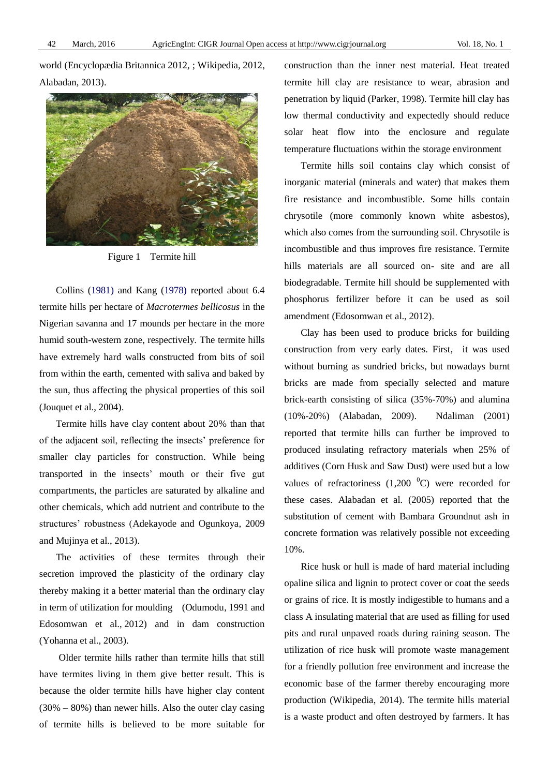world (Encyclopædia Britannica 2012, ; Wikipedia, 2012, Alabadan, 2013).



Figure 1 Termite hill

Collins (1981) and Kang (1978) reported about 6.4 termite hills per hectare of *Macrotermes bellicosus* in the Nigerian savanna and 17 mounds per hectare in the more humid south-western zone, respectively. The termite hills have extremely hard walls constructed from bits of soil from within the earth, cemented with saliva and baked by the sun, thus affecting the physical properties of this soil (Jouquet et al., 2004).

Termite hills have clay content about 20% than that of the adjacent soil, reflecting the insects' preference for smaller clay particles for construction. While being transported in the insects' mouth or their five gut compartments, the particles are saturated by alkaline and other chemicals, which add nutrient and contribute to the structures' robustness (Adekayode and Ogunkoya, 2009 and Mujinya et al., 2013).

The activities of these termites through their secretion improved the plasticity of the ordinary clay thereby making it a better material than the ordinary clay in term of utilization for moulding (Odumodu, 1991 and Edosomwan et al., 2012) and in dam construction (Yohanna et al., 2003).

Older termite hills rather than termite hills that still have termites living in them give better result. This is because the older termite hills have higher clay content (30% – 80%) than newer hills. Also the outer clay casing of termite hills is believed to be more suitable for construction than the inner nest material. Heat treated termite hill clay are resistance to wear, abrasion and penetration by liquid (Parker, 1998). Termite hill clay has low thermal conductivity and expectedly should reduce solar heat flow into the enclosure and regulate temperature fluctuations within the storage environment

Termite hills soil contains clay which consist of inorganic material (minerals and water) that makes them fire resistance and incombustible. Some hills contain chrysotile (more commonly known white asbestos), which also comes from the surrounding soil. Chrysotile is incombustible and thus improves fire resistance. Termite hills materials are all sourced on- site and are all biodegradable. Termite hill should be supplemented with phosphorus fertilizer before it can be used as soil amendment (Edosomwan et al., 2012).

Clay has been used to produce bricks for building construction from very early dates. First, it was used without burning as sundried bricks, but nowadays burnt bricks are made from specially selected and mature brick-earth consisting of silica (35%-70%) and alumina (10%-20%) (Alabadan, 2009). Ndaliman (2001) reported that termite hills can further be improved to produced insulating refractory materials when 25% of additives (Corn Husk and Saw Dust) were used but a low values of refractoriness  $(1,200\text{ °C})$  were recorded for these cases. Alabadan et al. (2005) reported that the substitution of cement with Bambara Groundnut ash in concrete formation was relatively possible not exceeding 10%.

Rice husk or hull is made of hard material including opaline silica and lignin to protect cover or coat the seeds or grains of rice. It is mostly indigestible to humans and a class A insulating material that are used as filling for used pits and rural unpaved roads during raining season. The utilization of rice husk will promote waste management for a friendly pollution free environment and increase the economic base of the farmer thereby encouraging more production (Wikipedia, 2014). The termite hills material is a waste product and often destroyed by farmers. It has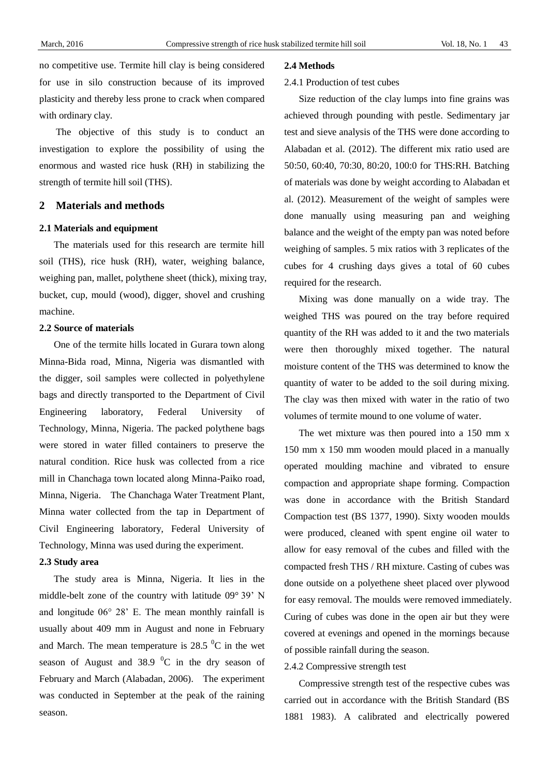no competitive use. Termite hill clay is being considered for use in silo construction because of its improved plasticity and thereby less prone to crack when compared with ordinary clay.

The objective of this study is to conduct an investigation to explore the possibility of using the enormous and wasted rice husk (RH) in stabilizing the strength of termite hill soil (THS).

## **2 Materials and methods**

#### **2.1 Materials and equipment**

The materials used for this research are termite hill soil (THS), rice husk (RH), water, weighing balance, weighing pan, mallet, polythene sheet (thick), mixing tray, bucket, cup, mould (wood), digger, shovel and crushing machine.

#### **2.2 Source of materials**

One of the termite hills located in Gurara town along Minna-Bida road, Minna, Nigeria was dismantled with the digger, soil samples were collected in polyethylene bags and directly transported to the Department of Civil Engineering laboratory, Federal University of Technology, Minna, Nigeria. The packed polythene bags were stored in water filled containers to preserve the natural condition. Rice husk was collected from a rice mill in Chanchaga town located along Minna-Paiko road, Minna, Nigeria. The Chanchaga Water Treatment Plant, Minna water collected from the tap in Department of Civil Engineering laboratory, Federal University of Technology, Minna was used during the experiment.

#### **2.3 Study area**

The study area is Minna, Nigeria. It lies in the middle-belt zone of the country with latitude 09°39' N and longitude 06° 28' E. The mean monthly rainfall is usually about 409 mm in August and none in February and March. The mean temperature is  $28.5\text{ °C}$  in the wet season of August and  $38.9\text{ °C}$  in the dry season of February and March (Alabadan, 2006). The experiment was conducted in September at the peak of the raining season.

#### **2.4 Methods**

#### 2.4.1 Production of test cubes

Size reduction of the clay lumps into fine grains was achieved through pounding with pestle. Sedimentary jar test and sieve analysis of the THS were done according to Alabadan et al. (2012). The different mix ratio used are 50:50, 60:40, 70:30, 80:20, 100:0 for THS:RH. Batching of materials was done by weight according to Alabadan et al. (2012). Measurement of the weight of samples were done manually using measuring pan and weighing balance and the weight of the empty pan was noted before weighing of samples. 5 mix ratios with 3 replicates of the cubes for 4 crushing days gives a total of 60 cubes required for the research.

Mixing was done manually on a wide tray. The weighed THS was poured on the tray before required quantity of the RH was added to it and the two materials were then thoroughly mixed together. The natural moisture content of the THS was determined to know the quantity of water to be added to the soil during mixing. The clay was then mixed with water in the ratio of two volumes of termite mound to one volume of water.

The wet mixture was then poured into a 150 mm x 150 mm x 150 mm wooden mould placed in a manually operated moulding machine and vibrated to ensure compaction and appropriate shape forming. Compaction was done in accordance with the British Standard Compaction test (BS 1377, 1990). Sixty wooden moulds were produced, cleaned with spent engine oil water to allow for easy removal of the cubes and filled with the compacted fresh THS / RH mixture. Casting of cubes was done outside on a polyethene sheet placed over plywood for easy removal. The moulds were removed immediately. Curing of cubes was done in the open air but they were covered at evenings and opened in the mornings because of possible rainfall during the season.

#### 2.4.2 Compressive strength test

Compressive strength test of the respective cubes was carried out in accordance with the British Standard (BS 1881 1983). A calibrated and electrically powered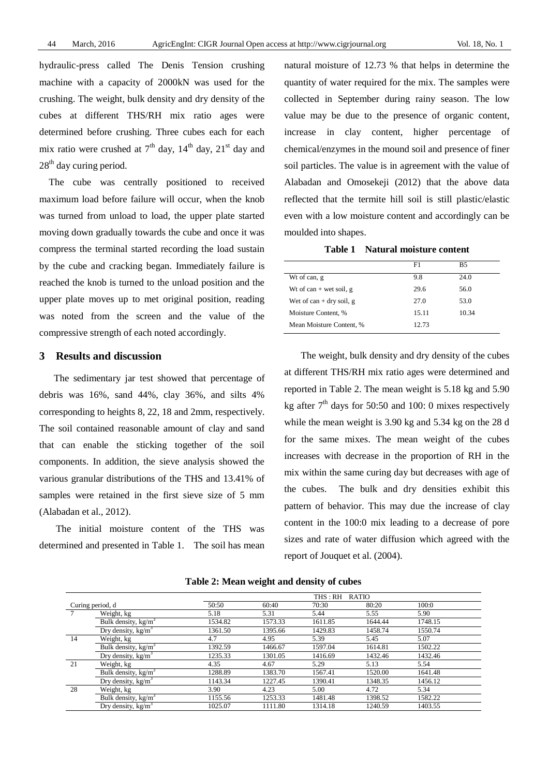hydraulic-press called The Denis Tension crushing machine with a capacity of 2000kN was used for the crushing. The weight, bulk density and dry density of the cubes at different THS/RH mix ratio ages were determined before crushing. Three cubes each for each mix ratio were crushed at  $7<sup>th</sup>$  day,  $14<sup>th</sup>$  day,  $21<sup>st</sup>$  day and 28<sup>th</sup> day curing period.

 The cube was centrally positioned to received maximum load before failure will occur, when the knob was turned from unload to load, the upper plate started moving down gradually towards the cube and once it was compress the terminal started recording the load sustain by the cube and cracking began. Immediately failure is reached the knob is turned to the unload position and the upper plate moves up to met original position, reading was noted from the screen and the value of the compressive strength of each noted accordingly.

## **3 Results and discussion**

The sedimentary jar test showed that percentage of debris was 16%, sand 44%, clay 36%, and silts 4% corresponding to heights 8, 22, 18 and 2mm, respectively. The soil contained reasonable amount of clay and sand that can enable the sticking together of the soil components. In addition, the sieve analysis showed the various granular distributions of the THS and 13.41% of samples were retained in the first sieve size of 5 mm (Alabadan et al., 2012).

The initial moisture content of the THS was determined and presented in Table 1. The soil has mean natural moisture of 12.73 % that helps in determine the quantity of water required for the mix. The samples were collected in September during rainy season. The low value may be due to the presence of organic content, increase in clay content, higher percentage of chemical/enzymes in the mound soil and presence of finer soil particles. The value is in agreement with the value of Alabadan and Omosekeji (2012) that the above data reflected that the termite hill soil is still plastic/elastic even with a low moisture content and accordingly can be moulded into shapes.

**Table 1 Natural moisture content**

|                          | F1    | B5    |
|--------------------------|-------|-------|
| Wt of can, g             | 9.8   | 24.0  |
| Wt of can + wet soil, g  | 29.6  | 56.0  |
| Wet of can + dry soil, g | 27.0  | 53.0  |
| Moisture Content, %      | 15.11 | 10.34 |
| Mean Moisture Content, % | 12.73 |       |
|                          |       |       |

The weight, bulk density and dry density of the cubes at different THS/RH mix ratio ages were determined and reported in Table 2. The mean weight is 5.18 kg and 5.90 kg after  $7<sup>th</sup>$  days for 50:50 and 100: 0 mixes respectively while the mean weight is 3.90 kg and 5.34 kg on the 28 d for the same mixes. The mean weight of the cubes increases with decrease in the proportion of RH in the mix within the same curing day but decreases with age of the cubes. The bulk and dry densities exhibit this pattern of behavior. This may due the increase of clay content in the 100:0 mix leading to a decrease of pore sizes and rate of water diffusion which agreed with the report of Jouquet et al. (2004).

|                  |                                 | THS : RH<br><b>RATIO</b> |         |         |         |         |  |  |
|------------------|---------------------------------|--------------------------|---------|---------|---------|---------|--|--|
| Curing period, d |                                 | 50:50                    | 60:40   | 70:30   | 80:20   | 100:0   |  |  |
|                  | Weight, kg                      | 5.18                     | 5.31    | 5.44    | 5.55    | 5.90    |  |  |
|                  | Bulk density, kg/m <sup>3</sup> | 1534.82                  | 1573.33 | 1611.85 | 1644.44 | 1748.15 |  |  |
|                  | Dry density, $kg/m3$            | 1361.50                  | 1395.66 | 1429.83 | 1458.74 | 1550.74 |  |  |
| 14               | Weight, kg                      | 4.7                      | 4.95    | 5.39    | 5.45    | 5.07    |  |  |
|                  | Bulk density, kg/m <sup>3</sup> | 1392.59                  | 1466.67 | 1597.04 | 1614.81 | 1502.22 |  |  |
|                  | Dry density, $kg/m^3$           | 1235.33                  | 1301.05 | 1416.69 | 1432.46 | 1432.46 |  |  |
| 21               | Weight, kg                      | 4.35                     | 4.67    | 5.29    | 5.13    | 5.54    |  |  |
|                  | Bulk density, kg/m <sup>3</sup> | 1288.89                  | 1383.70 | 1567.41 | 1520.00 | 1641.48 |  |  |
|                  | Dry density, $kg/m3$            | 1143.34                  | 1227.45 | 1390.41 | 1348.35 | 1456.12 |  |  |
| 28               | Weight, kg                      | 3.90                     | 4.23    | 5.00    | 4.72    | 5.34    |  |  |
|                  | Bulk density, $kg/m3$           | 1155.56                  | 1253.33 | 1481.48 | 1398.52 | 1582.22 |  |  |
|                  | Dry density, $kg/m3$            | 1025.07                  | 1111.80 | 1314.18 | 1240.59 | 1403.55 |  |  |

**Table 2: Mean weight and density of cubes**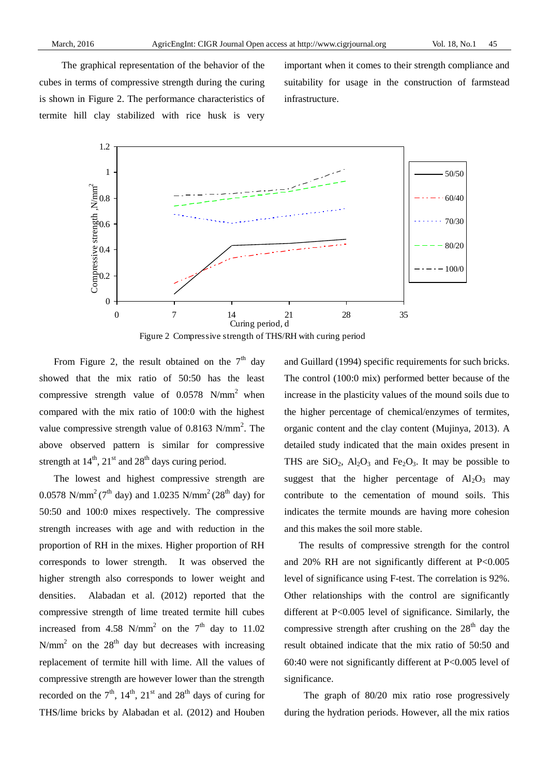The graphical representation of the behavior of the cubes in terms of compressive strength during the curing is shown in Figure 2. The performance characteristics of termite hill clay stabilized with rice husk is very

important when it comes to their strength compliance and suitability for usage in the construction of farmstead infrastructure.





From Figure 2, the result obtained on the  $7<sup>th</sup>$  day showed that the mix ratio of 50:50 has the least compressive strength value of  $0.0578$  N/mm<sup>2</sup> when compared with the mix ratio of 100:0 with the highest value compressive strength value of  $0.8163$  N/mm<sup>2</sup>. The above observed pattern is similar for compressive strength at  $14<sup>th</sup>$ ,  $21<sup>st</sup>$  and  $28<sup>th</sup>$  days curing period.

The lowest and highest compressive strength are 0.0578 N/mm<sup>2</sup> (7<sup>th</sup> day) and 1.0235 N/mm<sup>2</sup> (28<sup>th</sup> day) for 50:50 and 100:0 mixes respectively. The compressive strength increases with age and with reduction in the proportion of RH in the mixes. Higher proportion of RH corresponds to lower strength. It was observed the higher strength also corresponds to lower weight and densities. Alabadan et al. (2012) reported that the compressive strength of lime treated termite hill cubes increased from 4.58 N/mm<sup>2</sup> on the  $7<sup>th</sup>$  day to 11.02 N/mm<sup>2</sup> on the  $28<sup>th</sup>$  day but decreases with increasing replacement of termite hill with lime. All the values of compressive strength are however lower than the strength recorded on the  $7<sup>th</sup>$ ,  $14<sup>th</sup>$ ,  $21<sup>st</sup>$  and  $28<sup>th</sup>$  days of curing for THS/lime bricks by Alabadan et al. (2012) and Houben

and Guillard (1994) specific requirements for such bricks. The control (100:0 mix) performed better because of the increase in the plasticity values of the mound soils due to the higher percentage of chemical/enzymes of termites, organic content and the clay content (Mujinya, 2013). A detailed study indicated that the main oxides present in THS are  $SiO_2$ ,  $Al_2O_3$  and  $Fe_2O_3$ . It may be possible to suggest that the higher percentage of  $Al_2O_3$  may contribute to the cementation of mound soils. This indicates the termite mounds are having more cohesion and this makes the soil more stable.

The results of compressive strength for the control and 20% RH are not significantly different at P<0.005 level of significance using F-test. The correlation is 92%. Other relationships with the control are significantly different at P<0.005 level of significance. Similarly, the compressive strength after crushing on the  $28<sup>th</sup>$  day the result obtained indicate that the mix ratio of 50:50 and 60:40 were not significantly different at P<0.005 level of significance.

The graph of 80/20 mix ratio rose progressively during the hydration periods. However, all the mix ratios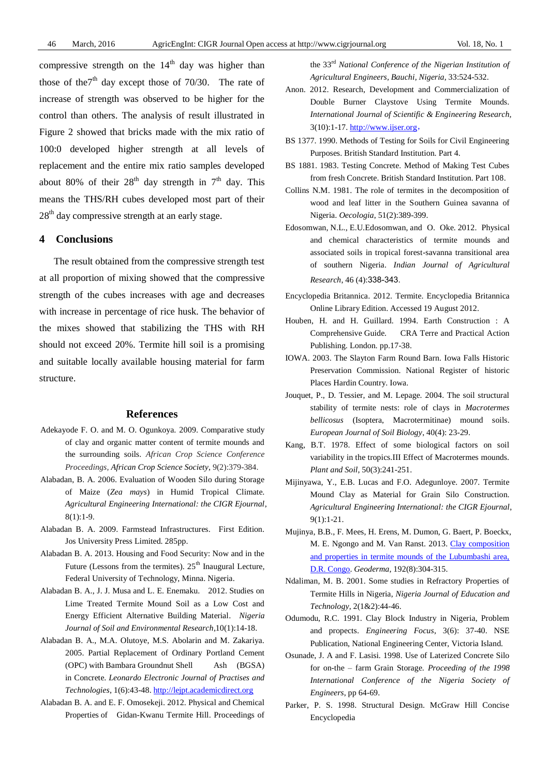compressive strength on the  $14<sup>th</sup>$  day was higher than those of the<sup>7th</sup> day except those of 70/30. The rate of increase of strength was observed to be higher for the control than others. The analysis of result illustrated in Figure 2 showed that bricks made with the mix ratio of 100:0 developed higher strength at all levels of replacement and the entire mix ratio samples developed about 80% of their  $28<sup>th</sup>$  day strength in  $7<sup>th</sup>$  day. This means the THS/RH cubes developed most part of their  $28<sup>th</sup>$  day compressive strength at an early stage.

### **4 Conclusions**

The result obtained from the compressive strength test at all proportion of mixing showed that the compressive strength of the cubes increases with age and decreases with increase in percentage of rice husk. The behavior of the mixes showed that stabilizing the THS with RH should not exceed 20%. Termite hill soil is a promising and suitable locally available housing material for farm structure.

#### **References**

- Adekayode F. O. and M. O. Ogunkoya. 2009. Comparative study of clay and organic matter content of termite mounds and the surrounding soils. *African Crop Science Conference Proceedings, African Crop Science Society*, 9(2):379-384.
- Alabadan, B. A. 2006. Evaluation of Wooden Silo during Storage of Maize (*Zea mays*) in Humid Tropical Climate. *Agricultural Engineering International: the CIGR Ejournal*, 8(1):1-9.
- Alabadan B. A. 2009. Farmstead Infrastructures. First Edition. Jos University Press Limited. 285pp.
- Alabadan B. A. 2013. Housing and Food Security: Now and in the Future (Lessons from the termites).  $25<sup>th</sup>$  Inaugural Lecture, Federal University of Technology, Minna. Nigeria.
- Alabadan B. A., J. J. Musa and L. E. Enemaku. 2012. Studies on Lime Treated Termite Mound Soil as a Low Cost and Energy Efficient Alternative Building Material. *Nigeria Journal of Soil and Environmental Research*,10(1):14-18.
- Alabadan B. A., M.A. Olutoye, M.S. Abolarin and M. Zakariya. 2005. Partial Replacement of Ordinary Portland Cement (OPC) with Bambara Groundnut Shell Ash (BGSA) in Concrete. *Leonardo Electronic Journal of Practises and Technologies*, 1(6):43-48. [http://lejpt.academicdirect.org](http://lejpt.academicdirect.org/)
- Alabadan B. A. and E. F. Omosekeji. 2012. Physical and Chemical Properties of Gidan-Kwanu Termite Hill. Proceedings of

the 33rd *National Conference of the Nigerian Institution of Agricultural Engineers, Bauchi, Nigeria*, 33:524-532.

- Anon. 2012. Research, Development and Commercialization of Double Burner Claystove Using Termite Mounds. *International Journal of Scientific & Engineering Research,* 3(10):1-17. [http://www.ijser.org](http://www.ijser.org/),
- BS 1377. 1990. Methods of Testing for Soils for Civil Engineering Purposes. British Standard Institution. Part 4.
- BS 1881. 1983. Testing Concrete. Method of Making Test Cubes from fresh Concrete. British Standard Institution. Part 108.
- Collins N.M. 1981. The role of termites in the decomposition of wood and leaf litter in the Southern Guinea savanna of Nigeria. *Oecologia*, 51(2):389-399.
- Edosomwan, N.L., E.U.Edosomwan, and O. Oke. 2012. Physical and chemical characteristics of termite mounds and associated soils in tropical forest-savanna transitional area of southern Nigeria. *Indian Journal of Agricultural Research*, 46 (4):338-343.
- Encyclopedia Britannica. 2012. [Termite.](http://library.eb.com.au/all/eb/article-39592?query=Amitermes%20meridionalis&ct=null) Encyclopedia Britannica Online Library Edition. Accessed 19 August 2012.
- Houben, H. and H. Guillard. 1994. Earth Construction : A Comprehensive Guide. CRA Terre and Practical Action Publishing. London. pp.17-38.
- IOWA. 2003. The Slayton Farm Round Barn. Iowa Falls Historic Preservation Commission. National Register of historic Places Hardin Country. Iowa.
- Jouquet, P., D. Tessier, and M. Lepage. 2004. The soil structural stability of termite nests: role of clays in *Macrotermes bellicosus* (Isoptera, Macrotermitinae) mound soils. *European Journal of Soil Biology*, 40(4): 23-29.
- Kang, B.T. 1978. Effect of some biological factors on soil variability in the tropics.III Effect of Macrotermes mounds. *Plant and Soil*, 50(3):241-251.
- Mijinyawa, Y., E.B. Lucas and F.O. Adegunloye. 2007. Termite Mound Clay as Material for Grain Silo Construction. *Agricultural Engineering International: the CIGR Ejournal*, 9(1):1-21.
- Mujinya, B.B., F. Mees, H. Erens, M. Dumon, G. Baert, P. Boeckx, M. E. Ngongo and M. Van Ranst. 2013. [Clay composition](http://www.sciencedirect.com/science/article/pii/S0016706112003059)  [and properties in termite mounds of the Lubumbashi area,](http://www.sciencedirect.com/science/article/pii/S0016706112003059)  [D.R. Congo.](http://www.sciencedirect.com/science/article/pii/S0016706112003059) *Geoderma*, 192(8):304-315.
- Ndaliman, M. B. 2001. Some studies in Refractory Properties of Termite Hills in Nigeria, *Nigeria Journal of Education and Technology*, 2(1&2):44-46.
- Odumodu, R.C. 1991. Clay Block Industry in Nigeria, Problem and propects. *Engineering Focus*, 3(6): 37-40. NSE Publication, National Engineering Center, Victoria Island.
- Osunade, J. A and F. Lasisi. 1998. Use of Laterized Concrete Silo for on-the – farm Grain Storage. *Proceeding of the 1998 International Conference of the Nigeria Society of Engineers*, pp 64-69.
- Parker, P. S. 1998. Structural Design. McGraw Hill Concise Encyclopedia